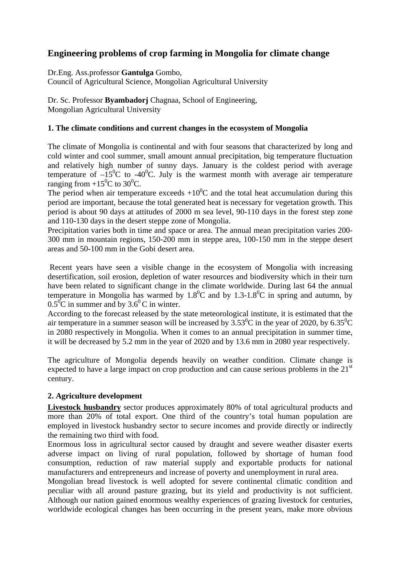# **Engineering problems of crop farming in Mongolia for climate change**

Dr.Eng. Ass.professor **Gantulga** Gombo,

Council of Agricultural Science, Mongolian Agricultural University

Dr. Sc. Professor **Byambadorj** Chagnaa, School of Engineering, Mongolian Agricultural University

# **1. The climate conditions and current changes in the ecosystem of Mongolia**

The climate of Mongolia is continental and with four seasons that characterized by long and cold winter and cool summer, small amount annual precipitation, big temperature fluctuation and relatively high number of sunny days. January is the coldest period with average temperature of  $-15^{\circ}$ C to  $-40^{\circ}$ C. July is the warmest month with average air temperature ranging from  $+15^{\circ}$ C to 30<sup>o</sup>C.

The period when air temperature exceeds  $+10^{0}$ C and the total heat accumulation during this period are important, because the total generated heat is necessary for vegetation growth. This period is about 90 days at attitudes of 2000 m sea level, 90-110 days in the forest step zone and 110-130 days in the desert steppe zone of Mongolia.

Precipitation varies both in time and space or area. The annual mean precipitation varies 200- 300 mm in mountain regions, 150-200 mm in steppe area, 100-150 mm in the steppe desert areas and 50-100 mm in the Gobi desert area.

 Recent years have seen a visible change in the ecosystem of Mongolia with increasing desertification, soil erosion, depletion of water resources and biodiversity which in their turn have been related to significant change in the climate worldwide. During last 64 the annual temperature in Mongolia has warmed by  $1.8^{\circ}$ C and by  $1.3$ - $1.8^{\circ}$ C in spring and autumn, by  $0.5^{\circ}$ C in summer and by  $3.6^{\circ}$ C in winter.

According to the forecast released by the state meteorological institute, it is estimated that the air temperature in a summer season will be increased by  $3.53^{\circ}$ C in the year of 2020, by 6.35<sup>°</sup>C in 2080 respectively in Mongolia. When it comes to an annual precipitation in summer time, it will be decreased by 5.2 mm in the year of 2020 and by 13.6 mm in 2080 year respectively.

The agriculture of Mongolia depends heavily on weather condition. Climate change is expected to have a large impact on crop production and can cause serious problems in the  $21<sup>st</sup>$ century.

# **2. Agriculture development**

**Livestock husbandry** sector produces approximately 80% of total agricultural products and more than 20% of total export. One third of the country's total human population are employed in livestock husbandry sector to secure incomes and provide directly or indirectly the remaining two third with food.

Enormous loss in agricultural sector caused by draught and severe weather disaster exerts adverse impact on living of rural population, followed by shortage of human food consumption, reduction of raw material supply and exportable products for national manufacturers and entrepreneurs and increase of poverty and unemployment in rural area.

Mongolian bread livestock is well adopted for severe continental climatic condition and peculiar with all around pasture grazing, but its yield and productivity is not sufficient. Although our nation gained enormous wealthy experiences of grazing livestock for centuries, worldwide ecological changes has been occurring in the present years, make more obvious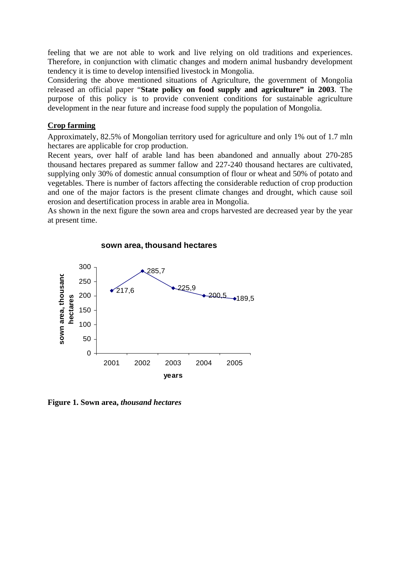feeling that we are not able to work and live relying on old traditions and experiences. Therefore, in conjunction with climatic changes and modern animal husbandry development tendency it is time to develop intensified livestock in Mongolia.

Considering the above mentioned situations of Agriculture, the government of Mongolia released an official paper "**State policy on food supply and agriculture" in 2003**. The purpose of this policy is to provide convenient conditions for sustainable agriculture development in the near future and increase food supply the population of Mongolia.

### **Crop farming**

Approximately, 82.5% of Mongolian territory used for agriculture and only 1% out of 1.7 mln hectares are applicable for crop production.

Recent years, over half of arable land has been abandoned and annually about 270-285 thousand hectares prepared as summer fallow and 227-240 thousand hectares are cultivated, supplying only 30% of domestic annual consumption of flour or wheat and 50% of potato and vegetables. There is number of factors affecting the considerable reduction of crop production and one of the major factors is the present climate changes and drought, which cause soil erosion and desertification process in arable area in Mongolia.

As shown in the next figure the sown area and crops harvested are decreased year by the year at present time.



#### **sown area, thousand hectares**

**Figure 1. Sown area,** *thousand hectares*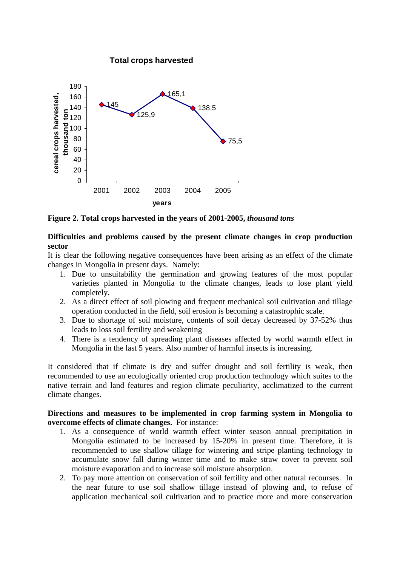

**Figure 2. Total crops harvested in the years of 2001-2005,** *thousand tons*

### **Difficulties and problems caused by the present climate changes in crop production sector**

It is clear the following negative consequences have been arising as an effect of the climate changes in Mongolia in present days. Namely:

- 1. Due to unsuitability the germination and growing features of the most popular varieties planted in Mongolia to the climate changes, leads to lose plant yield completely.
- 2. As a direct effect of soil plowing and frequent mechanical soil cultivation and tillage operation conducted in the field, soil erosion is becoming a catastrophic scale.
- 3. Due to shortage of soil moisture, contents of soil decay decreased by 37-52% thus leads to loss soil fertility and weakening
- 4. There is a tendency of spreading plant diseases affected by world warmth effect in Mongolia in the last 5 years. Also number of harmful insects is increasing.

It considered that if climate is dry and suffer drought and soil fertility is weak, then recommended to use an ecologically oriented crop production technology which suites to the native terrain and land features and region climate peculiarity, acclimatized to the current climate changes.

#### **Directions and measures to be implemented in crop farming system in Mongolia to overcome effects of climate changes.** For instance:

- 1. As a consequence of world warmth effect winter season annual precipitation in Mongolia estimated to be increased by 15-20% in present time. Therefore, it is recommended to use shallow tillage for wintering and stripe planting technology to accumulate snow fall during winter time and to make straw cover to prevent soil moisture evaporation and to increase soil moisture absorption.
- 2. To pay more attention on conservation of soil fertility and other natural recourses. In the near future to use soil shallow tillage instead of plowing and, to refuse of application mechanical soil cultivation and to practice more and more conservation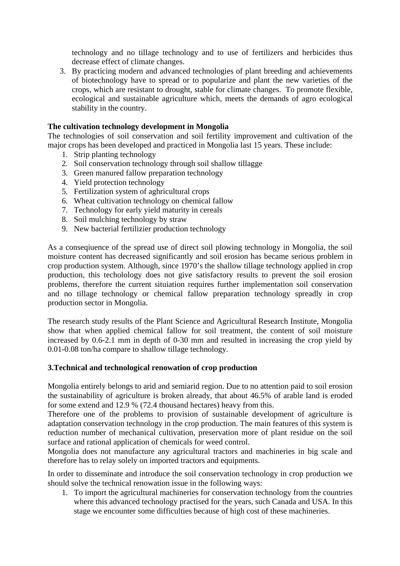technology and no tillage technology and to use of fertilizers and herbicides thus decrease effect of climate changes.

3. By practicing modern and advanced technologies of plant breeding and achievements of biotechnology have to spread or to popularize and plant the new varieties of the crops, which are resistant to drought, stable for climate changes. To promote flexible, ecological and sustainable agriculture which, meets the demands of agro ecological stability in the country.

### **The cultivation technology development in Mongolia**

The technologies of soil conservation and soil fertility improvement and cultivation of the major crops has been developed and practiced in Mongolia last 15 years. These include:

- 1. Strip planting technology
- 2. Soil conservation technology through soil shallow tillagge
- 3. Green manured fallow preparation technology
- 4. Yield protection technology
- 5. Fertilization system of aghricultural crops
- 6. Wheat cultivation technology on chemical fallow
- 7. Technology for early yield maturity in cereals
- 8. Soil mulching technology by straw
- 9. New bacterial fertilizier production technology

As a conseqiuence of the spread use of direct soil plowing technology in Mongolia, the soil moisture content has decreased significantly and soil erosion has became serious problem in crop production system. Although, since 1970's the shallow tillage technology applied in crop production, this techolology does not give satisfactory results to prevent the soil erosion problems, therefore the current situiation requires further implementation soil conservation and no tillage technology or chemical fallow preparation technology spreadly in crop production sector in Mongolia.

The research study results of the Plant Science and Agricultural Research Institute, Mongolia show that when applied chemical fallow for soil treatment, the content of soil moisture increased by 0.6-2.1 mm in depth of 0-30 mm and resulted in increasing the crop yield by 0.01-0.08 ton/ha compare to shallow tillage technology.

#### **3.Technical and technological renowation of crop production**

Mongolia entirely belongs to arid and semiarid region. Due to no attention paid to soil erosion the sustainability of agriculture is broken already, that about 46.5% of arable land is eroded for some extend and 12.9 % (72.4 thousand hectares) heavy from this.

Therefore one of the problems to provision of sustainable development of agriculture is adaptation conservation technology in the crop production. The main features of this system is reduction number of mechanical cultivation, preservation more of plant residue on the soil surface and rational application of chemicals for weed control.

Mongolia does not manufacture any agricultural tractors and machineries in big scale and therefore has to relay solely on imported tractors and equipments.

In order to disseminate and introduce the soil conservation technology in crop production we should solve the technical renowation issue in the following ways:

1. To import the agricultural machineries for conservation technology from the countries where this advanced technology practised for the years, such Canada and USA. In this stage we encounter some difficulties because of high cost of these machineries.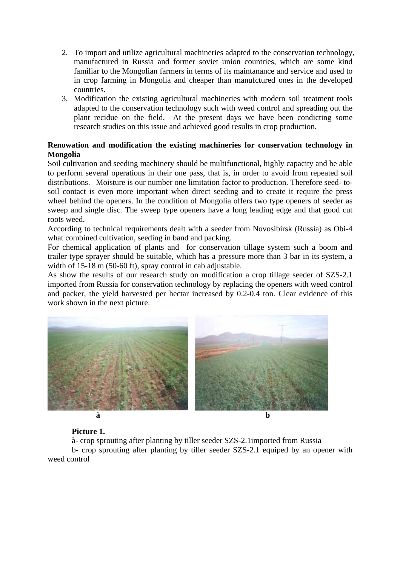- 2. To import and utilize agricultural machineries adapted to the conservation technology, manufactured in Russia and former soviet union countries, which are some kind familiar to the Mongolian farmers in terms of its maintanance and service and used to in crop farming in Mongolia and cheaper than manufctured ones in the developed countries.
- 3. Modification the existing agricultural machineries with modern soil treatment tools adapted to the conservation technology such with weed control and spreading out the plant recidue on the field. At the present days we have been condicting some research studies on this issue and achieved good results in crop production.

# **Renowation and modification the existing machineries for conservation technology in Mongolia**

Soil cultivation and seeding machinery should be multifunctional, highly capacity and be able to perform several operations in their one pass, that is, in order to avoid from repeated soil distributions. Moisture is our number one limitation factor to production. Therefore seed- tosoil contact is even more important when direct seeding and to create it require the press wheel behind the openers. In the condition of Mongolia offers two type openers of seeder as sweep and single disc. The sweep type openers have a long leading edge and that good cut roots weed.

According to technical requirements dealt with a seeder from Novosibirsk (Russia) as Obi-4 what combined cultivation, seeding in band and packing.

For chemical application of plants and for conservation tillage system such a boom and trailer type sprayer should be suitable, which has a pressure more than 3 bar in its system, a width of 15-18 m (50-60 ft), spray control in cab adjustable.

As show the results of our research study on modification a crop tillage seeder of SZS-2.1 imported from Russia for conservation technology by replacing the openers with weed control and packer, the yield harvested per hectar increased by 0.2-0.4 ton. Clear evidence of this work shown in the next picture.



# **Picture 1.**

à- crop sprouting after planting by tiller seeder SZS-2.1imported from Russia

b- crop sprouting after planting by tiller seeder SZS-2.1 equiped by an opener with weed control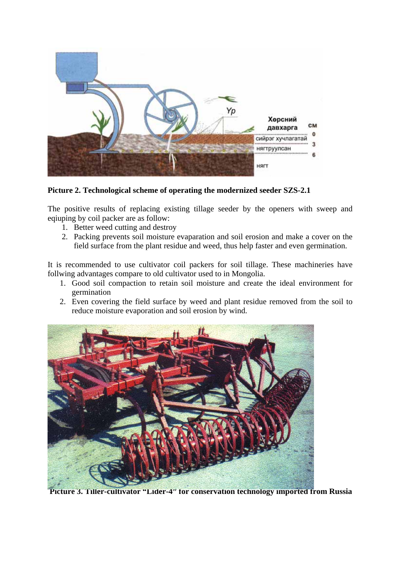

**Picture 2. Technological scheme of operating the modernized seeder SZS-2.1** 

The positive results of replacing existing tillage seeder by the openers with sweep and eqiuping by coil packer are as follow:

- 1. Better weed cutting and destroy
- 2. Packing prevents soil moisture evaparation and soil erosion and make a cover on the field surface from the plant residue and weed, thus help faster and even germination.

It is recommended to use cultivator coil packers for soil tillage. These machineries have follwing advantages compare to old cultivator used to in Mongolia.

- 1. Good soil compaction to retain soil moisture and create the ideal environment for germination
- 2. Even covering the field surface by weed and plant residue removed from the soil to reduce moisture evaporation and soil erosion by wind.



 **Picture 3. Tiller-cultivator "Lider-4" for conservation technology imported from Russia**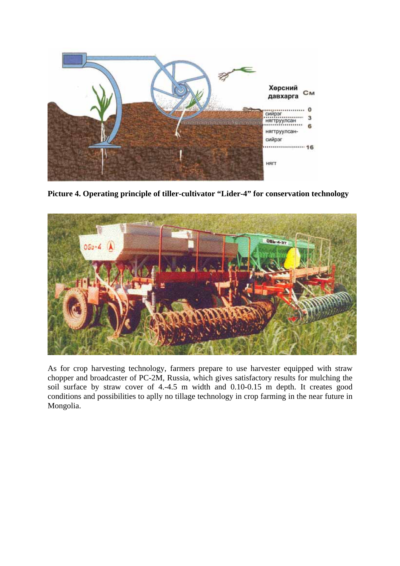

**Picture 4. Operating principle of tiller-cultivator "Lider-4" for conservation technology** 



As for crop harvesting technology, farmers prepare to use harvester equipped with straw chopper and broadcaster of PC-2M, Russia, which gives satisfactory results for mulching the soil surface by straw cover of 4.-4.5 m width and 0.10-0.15 m depth. It creates good conditions and possibilities to aplly no tillage technology in crop farming in the near future in Mongolia.